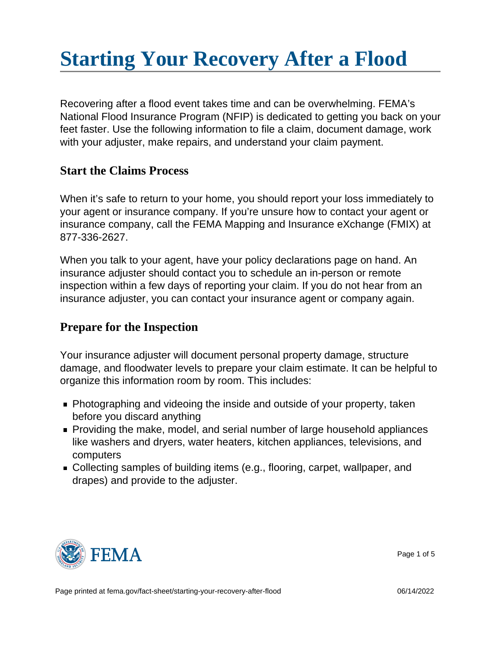# [Starting Your Recovery After a Flood](https://edit.fema.gov/fact-sheet/starting-your-recovery-after-flood)

Recovering after a flood event takes time and can be overwhelming. FEMA's National Flood Insurance Program (NFIP) is dedicated to getting you back on your feet faster. Use the following information to file a claim, document damage, work with your adjuster, make repairs, and understand your claim payment.

### Start the Claims Process

When it's safe to return to your home, you should report your loss immediately to your agent or insurance company. If you're unsure how to contact your agent or insurance company, call the FEMA Mapping and Insurance eXchange (FMIX) at 877-336-2627.

When you talk to your agent, have your policy declarations page on hand. An insurance adjuster should contact you to schedule an in-person or remote inspection within a few days of reporting your claim. If you do not hear from an insurance adjuster, you can contact your insurance agent or company again.

### Prepare for the Inspection

Your insurance adjuster will document personal property damage, structure damage, and floodwater levels to prepare your claim estimate. It can be helpful to organize this information room by room. This includes:

- Photographing and videoing the inside and outside of your property, taken before you discard anything
- **Providing the make, model, and serial number of large household appliances** like washers and dryers, water heaters, kitchen appliances, televisions, and computers
- Collecting samples of building items (e.g., flooring, carpet, wallpaper, and drapes) and provide to the adjuster.



Page 1 of 5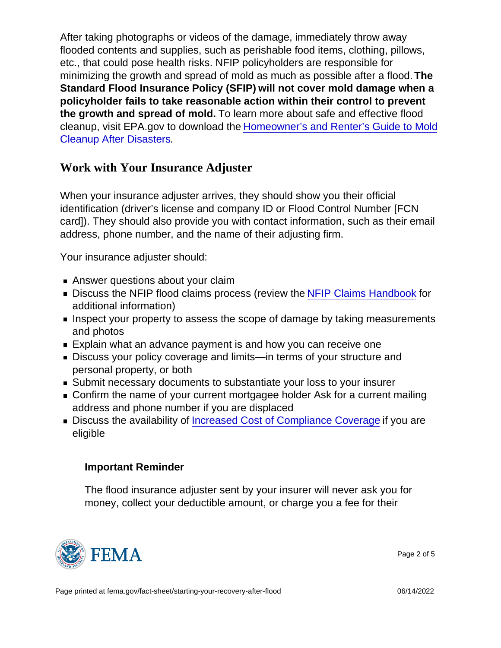After taking photographs or videos of the damage, immediately throw away flooded contents and supplies, such as perishable food items, clothing, pillows, etc., that could pose health risks. NFIP policyholders are responsible for minimizing the growth and spread of mold as much as possible after a flood. The Standard Flood Insurance Policy (SFIP) will not cover mold damage when a policyholder fails to take reasonable action within their control to prevent the growth and spread of mold. To learn more about safe and effective flood cleanup, visit EPA.gov to download the [Homeowner's and Renter's Guide to Mold](https://www.epa.gov/sites/default/files/2017-08/documents/mold._homeowners_and_renters_guide_to_cleanup_after_disasters.pdf) [Cleanup After Disasters](https://www.epa.gov/sites/default/files/2017-08/documents/mold._homeowners_and_renters_guide_to_cleanup_after_disasters.pdf).

Work with Your Insurance Adjuster

When your insurance adjuster arrives, they should show you their official identification (driver's license and company ID or Flood Control Number [FCN card]). They should also provide you with contact information, such as their email address, phone number, and the name of their adjusting firm.

Your insurance adjuster should:

- Answer questions about your claim
- Discuss the NFIP flood claims process (review the [NFIP Claims Handbook](https://www.fema.gov/sites/default/files/2020-05/FINAL_ClaimsHandbook_10252017.pdf) for additional information)
- **Inspect your property to assess the scope of damage by taking measurements** and photos
- Explain what an advance payment is and how you can receive one
- Discuss your policy coverage and limits—in terms of your structure and personal property, or both
- Submit necessary documents to substantiate your loss to your insurer
- **Confirm the name of your current mortgagee holder Ask for a current mailing** address and phone number if you are displaced
- **Discuss the availability of [Increased Cost of Compliance Coverage](https://www.fema.gov/floodplain-management/financial-help/increased-cost-compliance) if you are** eligible

Important Reminder

The flood insurance adjuster sent by your insurer will never ask you for money, collect your deductible amount, or charge you a fee for their



Page 2 of 5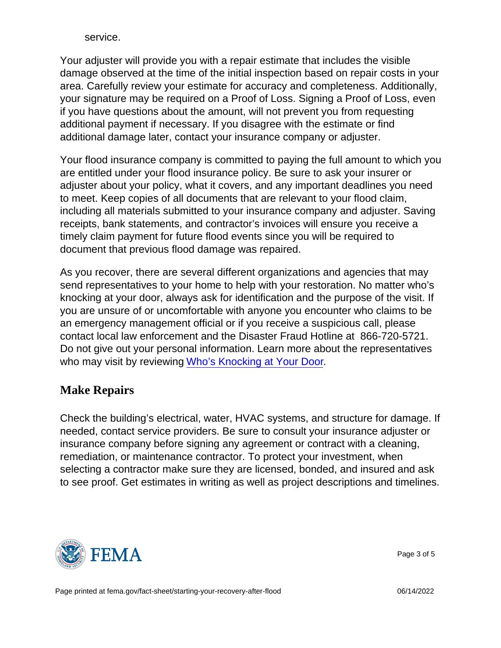service.

Your adjuster will provide you with a repair estimate that includes the visible damage observed at the time of the initial inspection based on repair costs in your area. Carefully review your estimate for accuracy and completeness. Additionally, your signature may be required on a Proof of Loss. Signing a Proof of Loss, even if you have questions about the amount, will not prevent you from requesting additional payment if necessary. If you disagree with the estimate or find additional damage later, contact your insurance company or adjuster.

Your flood insurance company is committed to paying the full amount to which you are entitled under your flood insurance policy. Be sure to ask your insurer or adjuster about your policy, what it covers, and any important deadlines you need to meet. Keep copies of all documents that are relevant to your flood claim, including all materials submitted to your insurance company and adjuster. Saving receipts, bank statements, and contractor's invoices will ensure you receive a timely claim payment for future flood events since you will be required to document that previous flood damage was repaired.

As you recover, there are several different organizations and agencies that may send representatives to your home to help with your restoration. No matter who's knocking at your door, always ask for identification and the purpose of the visit. If you are unsure of or uncomfortable with anyone you encounter who claims to be an emergency management official or if you receive a suspicious call, please contact local law enforcement and the Disaster Fraud Hotline at 866-720-5721. Do not give out your personal information. Learn more about the representatives who may visit by reviewing [Who's Knocking at Your Door](https://www.fema.gov/sites/default/files/2020-07/fema_nfip_who-knocking-your-door.pdf).

### Make Repairs

Check the building's electrical, water, HVAC systems, and structure for damage. If needed, contact service providers. Be sure to consult your insurance adjuster or insurance company before signing any agreement or contract with a cleaning, remediation, or maintenance contractor. To protect your investment, when selecting a contractor make sure they are licensed, bonded, and insured and ask to see proof. Get estimates in writing as well as project descriptions and timelines.



Page 3 of 5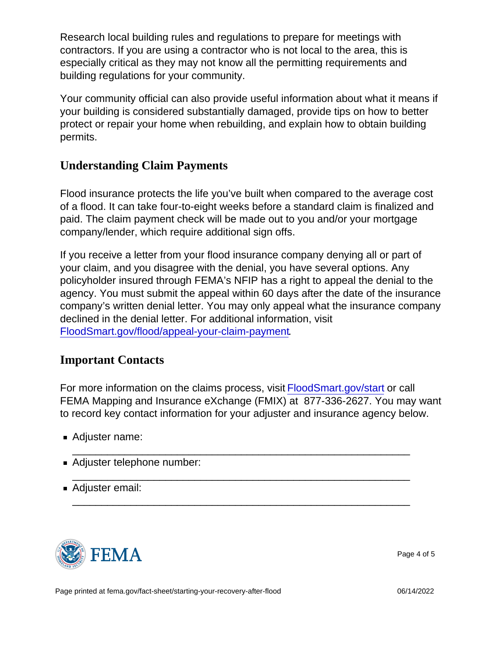Research local building rules and regulations to prepare for meetings with contractors. If you are using a contractor who is not local to the area, this is especially critical as they may not know all the permitting requirements and building regulations for your community.

Your community official can also provide useful information about what it means if your building is considered substantially damaged, provide tips on how to better protect or repair your home when rebuilding, and explain how to obtain building permits.

## Understanding Claim Payments

Flood insurance protects the life you've built when compared to the average cost of a flood. It can take four-to-eight weeks before a standard claim is finalized and paid. The claim payment check will be made out to you and/or your mortgage company/lender, which require additional sign offs.

If you receive a letter from your flood insurance company denying all or part of your claim, and you disagree with the denial, you have several options. Any policyholder insured through FEMA's NFIP has a right to appeal the denial to the agency. You must submit the appeal within 60 days after the date of the insurance company's written denial letter. You may only appeal what the insurance company declined in the denial letter. For additional information, visit [FloodSmart.gov/flood/appeal-your-claim-payment.](http://www.floodsmart.gov/flood/appeal-your-claim-payment)

#### Important Contacts

For more information on the claims process, visit [FloodSmart.gov/start](http://www.floodsmart.gov/start) or call FEMA Mapping and Insurance eXchange (FMIX) at 877-336-2627. You may want to record key contact information for your adjuster and insurance agency below.

\_\_\_\_\_\_\_\_\_\_\_\_\_\_\_\_\_\_\_\_\_\_\_\_\_\_\_\_\_\_\_\_\_\_\_\_\_\_\_\_\_\_\_\_\_\_\_\_\_\_\_\_\_\_\_\_\_\_

\_\_\_\_\_\_\_\_\_\_\_\_\_\_\_\_\_\_\_\_\_\_\_\_\_\_\_\_\_\_\_\_\_\_\_\_\_\_\_\_\_\_\_\_\_\_\_\_\_\_\_\_\_\_\_\_\_\_

\_\_\_\_\_\_\_\_\_\_\_\_\_\_\_\_\_\_\_\_\_\_\_\_\_\_\_\_\_\_\_\_\_\_\_\_\_\_\_\_\_\_\_\_\_\_\_\_\_\_\_\_\_\_\_\_\_\_

- Adjuster name:
- Adjuster telephone number:
- Adjuster email:



Page 4 of 5